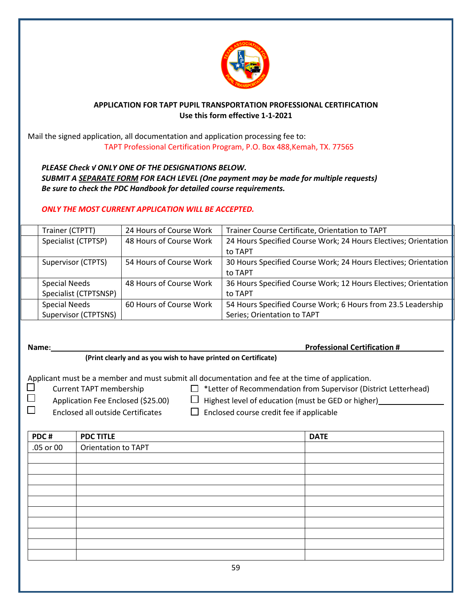

## **APPLICATION FOR TAPT PUPIL TRANSPORTATION PROFESSIONAL CERTIFICATION Use this form effective 1-1-2021**

Mail the signed application, all documentation and application processing fee to: TAPT Professional Certification Program, P.O. Box 488,Kemah, TX. 77565

*PLEASE Check √ ONLY ONE OF THE DESIGNATIONS BELOW. SUBMIT A SEPARATE FORM FOR EACH LEVEL (One payment may be made for multiple requests) Be sure to check the PDC Handbook for detailed course requirements.*

## *ONLY THE MOST CURRENT APPLICATION WILL BE ACCEPTED.*

| Trainer (CTPTT)       | 24 Hours of Course Work | Trainer Course Certificate, Orientation to TAPT                 |
|-----------------------|-------------------------|-----------------------------------------------------------------|
| Specialist (CTPTSP)   | 48 Hours of Course Work | 24 Hours Specified Course Work; 24 Hours Electives; Orientation |
|                       |                         | to TAPT                                                         |
| Supervisor (CTPTS)    | 54 Hours of Course Work | 30 Hours Specified Course Work; 24 Hours Electives; Orientation |
|                       |                         | to TAPT                                                         |
| <b>Special Needs</b>  | 48 Hours of Course Work | 36 Hours Specified Course Work; 12 Hours Electives; Orientation |
| Specialist (CTPTSNSP) |                         | to TAPT                                                         |
| <b>Special Needs</b>  | 60 Hours of Course Work | 54 Hours Specified Course Work; 6 Hours from 23.5 Leadership    |
| Supervisor (CTPTSNS)  |                         | Series; Orientation to TAPT                                     |

**Name: Professional Certification #**

## **(Print clearly and as you wish to have printed on Certificate)**

Applicant must be a member and must submit all documentation and fee at the time of application.

- $\Box$  Current TAPT membership  $\hfill \Box$  \*Letter of Recommendation from Supervisor (District Letterhead)
- $\square$  Application Fee Enclosed (\$25.00)  $\square$  Highest level of education (must be GED or higher)

 $\square$  Enclosed all outside Certificates  $\square$  Enclosed course credit fee if applicable

| PDC#      | <b>PDC TITLE</b>           | <b>DATE</b> |
|-----------|----------------------------|-------------|
| .05 or 00 | <b>Orientation to TAPT</b> |             |
|           |                            |             |
|           |                            |             |
|           |                            |             |
|           |                            |             |
|           |                            |             |
|           |                            |             |
|           |                            |             |
|           |                            |             |
|           |                            |             |
|           |                            |             |
|           | 59                         |             |